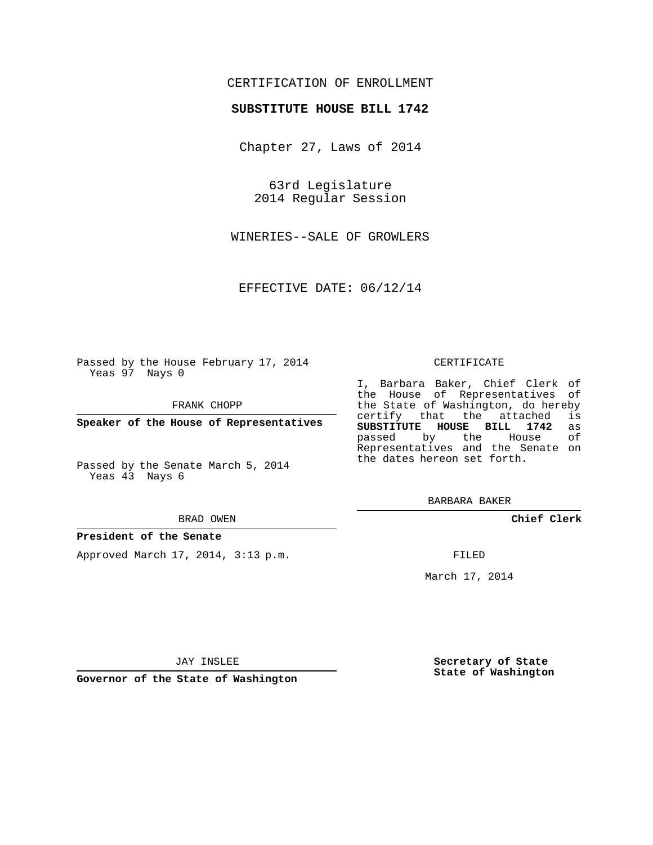## CERTIFICATION OF ENROLLMENT

### **SUBSTITUTE HOUSE BILL 1742**

Chapter 27, Laws of 2014

63rd Legislature 2014 Regular Session

WINERIES--SALE OF GROWLERS

EFFECTIVE DATE: 06/12/14

Passed by the House February 17, 2014 Yeas 97 Nays 0

FRANK CHOPP

**Speaker of the House of Representatives**

Passed by the Senate March 5, 2014 Yeas 43 Nays 6

#### BRAD OWEN

#### **President of the Senate**

Approved March 17, 2014, 3:13 p.m.

#### CERTIFICATE

I, Barbara Baker, Chief Clerk of the House of Representatives of the State of Washington, do hereby<br>certify that the attached is certify that the attached **SUBSTITUTE HOUSE BILL 1742** as passed by the Representatives and the Senate on the dates hereon set forth.

BARBARA BAKER

**Chief Clerk**

FILED

March 17, 2014

JAY INSLEE

**Governor of the State of Washington**

**Secretary of State State of Washington**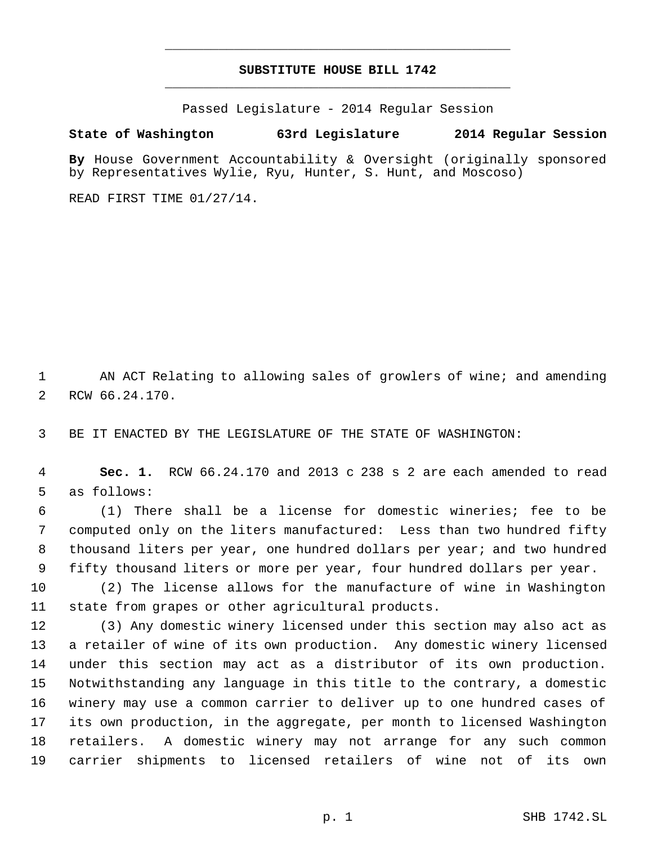# **SUBSTITUTE HOUSE BILL 1742** \_\_\_\_\_\_\_\_\_\_\_\_\_\_\_\_\_\_\_\_\_\_\_\_\_\_\_\_\_\_\_\_\_\_\_\_\_\_\_\_\_\_\_\_\_

\_\_\_\_\_\_\_\_\_\_\_\_\_\_\_\_\_\_\_\_\_\_\_\_\_\_\_\_\_\_\_\_\_\_\_\_\_\_\_\_\_\_\_\_\_

Passed Legislature - 2014 Regular Session

# **State of Washington 63rd Legislature 2014 Regular Session**

**By** House Government Accountability & Oversight (originally sponsored by Representatives Wylie, Ryu, Hunter, S. Hunt, and Moscoso)

READ FIRST TIME 01/27/14.

1 AN ACT Relating to allowing sales of growlers of wine; and amending RCW 66.24.170.

BE IT ENACTED BY THE LEGISLATURE OF THE STATE OF WASHINGTON:

 **Sec. 1.** RCW 66.24.170 and 2013 c 238 s 2 are each amended to read as follows:

 (1) There shall be a license for domestic wineries; fee to be computed only on the liters manufactured: Less than two hundred fifty thousand liters per year, one hundred dollars per year; and two hundred fifty thousand liters or more per year, four hundred dollars per year.

 (2) The license allows for the manufacture of wine in Washington state from grapes or other agricultural products.

 (3) Any domestic winery licensed under this section may also act as a retailer of wine of its own production. Any domestic winery licensed under this section may act as a distributor of its own production. Notwithstanding any language in this title to the contrary, a domestic winery may use a common carrier to deliver up to one hundred cases of its own production, in the aggregate, per month to licensed Washington retailers. A domestic winery may not arrange for any such common carrier shipments to licensed retailers of wine not of its own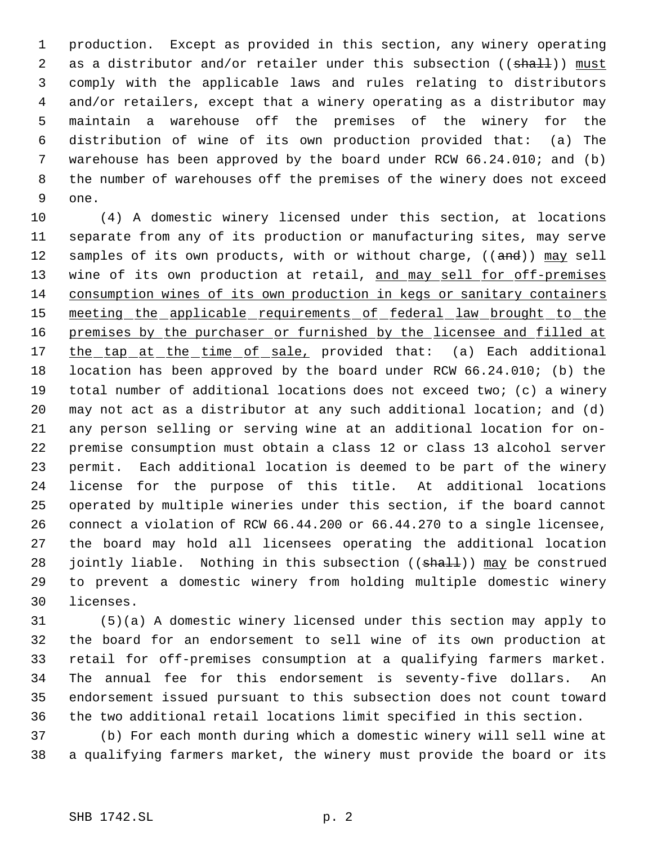production. Except as provided in this section, any winery operating 2 as a distributor and/or retailer under this subsection ((shall)) must comply with the applicable laws and rules relating to distributors and/or retailers, except that a winery operating as a distributor may maintain a warehouse off the premises of the winery for the distribution of wine of its own production provided that: (a) The warehouse has been approved by the board under RCW 66.24.010; and (b) the number of warehouses off the premises of the winery does not exceed one.

 (4) A domestic winery licensed under this section, at locations separate from any of its production or manufacturing sites, may serve 12 samples of its own products, with or without charge, ((and)) may sell 13 wine of its own production at retail, and may sell for off-premises consumption wines of its own production in kegs or sanitary containers 15 meeting the applicable requirements of federal law brought to the 16 premises by the purchaser or furnished by the licensee and filled at 17 the tap at the time of sale, provided that: (a) Each additional location has been approved by the board under RCW 66.24.010; (b) the total number of additional locations does not exceed two; (c) a winery may not act as a distributor at any such additional location; and (d) any person selling or serving wine at an additional location for on- premise consumption must obtain a class 12 or class 13 alcohol server permit. Each additional location is deemed to be part of the winery license for the purpose of this title. At additional locations operated by multiple wineries under this section, if the board cannot connect a violation of RCW 66.44.200 or 66.44.270 to a single licensee, the board may hold all licensees operating the additional location 28 jointly liable. Nothing in this subsection ((shall)) may be construed to prevent a domestic winery from holding multiple domestic winery licenses.

 (5)(a) A domestic winery licensed under this section may apply to the board for an endorsement to sell wine of its own production at retail for off-premises consumption at a qualifying farmers market. The annual fee for this endorsement is seventy-five dollars. An endorsement issued pursuant to this subsection does not count toward the two additional retail locations limit specified in this section.

 (b) For each month during which a domestic winery will sell wine at a qualifying farmers market, the winery must provide the board or its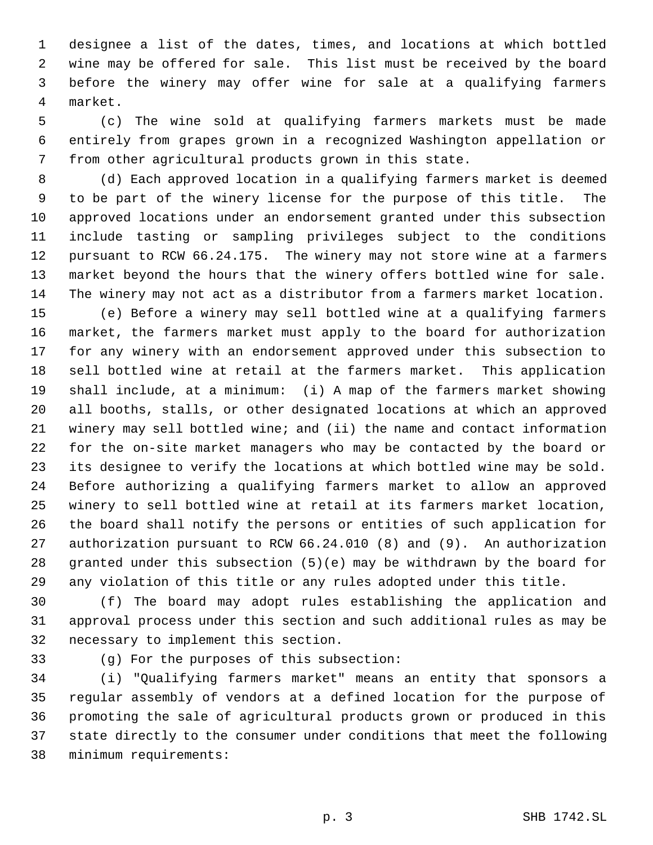designee a list of the dates, times, and locations at which bottled wine may be offered for sale. This list must be received by the board before the winery may offer wine for sale at a qualifying farmers market.

 (c) The wine sold at qualifying farmers markets must be made entirely from grapes grown in a recognized Washington appellation or from other agricultural products grown in this state.

 (d) Each approved location in a qualifying farmers market is deemed to be part of the winery license for the purpose of this title. The approved locations under an endorsement granted under this subsection include tasting or sampling privileges subject to the conditions pursuant to RCW 66.24.175. The winery may not store wine at a farmers market beyond the hours that the winery offers bottled wine for sale. The winery may not act as a distributor from a farmers market location.

 (e) Before a winery may sell bottled wine at a qualifying farmers market, the farmers market must apply to the board for authorization for any winery with an endorsement approved under this subsection to sell bottled wine at retail at the farmers market. This application shall include, at a minimum: (i) A map of the farmers market showing all booths, stalls, or other designated locations at which an approved winery may sell bottled wine; and (ii) the name and contact information for the on-site market managers who may be contacted by the board or its designee to verify the locations at which bottled wine may be sold. Before authorizing a qualifying farmers market to allow an approved winery to sell bottled wine at retail at its farmers market location, the board shall notify the persons or entities of such application for authorization pursuant to RCW 66.24.010 (8) and (9). An authorization granted under this subsection (5)(e) may be withdrawn by the board for any violation of this title or any rules adopted under this title.

 (f) The board may adopt rules establishing the application and approval process under this section and such additional rules as may be necessary to implement this section.

(g) For the purposes of this subsection:

 (i) "Qualifying farmers market" means an entity that sponsors a regular assembly of vendors at a defined location for the purpose of promoting the sale of agricultural products grown or produced in this state directly to the consumer under conditions that meet the following minimum requirements: